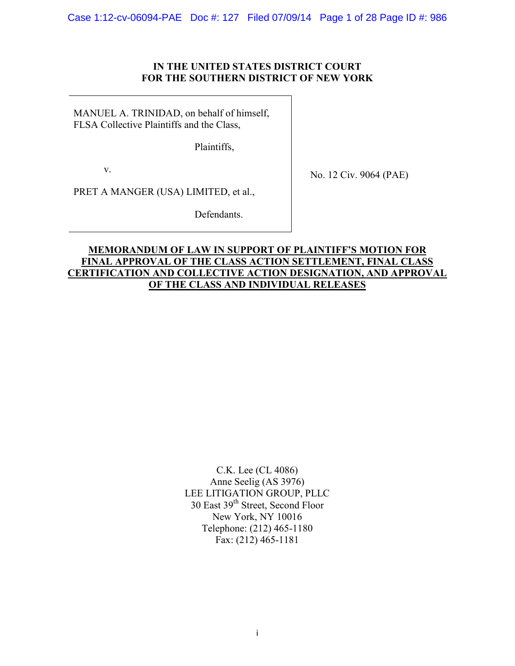Case 1:12-cv-06094-PAE Doc #: 127 Filed 07/09/14 Page 1 of 28 Page ID #: 986

# **IN THE UNITED STATES DISTRICT COURT FOR THE SOUTHERN DISTRICT OF NEW YORK**

MANUEL A. TRINIDAD, on behalf of himself, FLSA Collective Plaintiffs and the Class,

Plaintiffs,

v.

No. 12 Civ. 9064 (PAE)

PRET A MANGER (USA) LIMITED, et al.,

Defendants.

# **MEMORANDUM OF LAW IN SUPPORT OF PLAINTIFF'S MOTION FOR FINAL APPROVAL OF THE CLASS ACTION SETTLEMENT, FINAL CLASS CERTIFICATION AND COLLECTIVE ACTION DESIGNATION, AND APPROVAL OF THE CLASS AND INDIVIDUAL RELEASES**

C.K. Lee (CL 4086) Anne Seelig (AS 3976) LEE LITIGATION GROUP, PLLC 30 East 39<sup>th</sup> Street, Second Floor New York, NY 10016 Telephone: (212) 465-1180 Fax: (212) 465-1181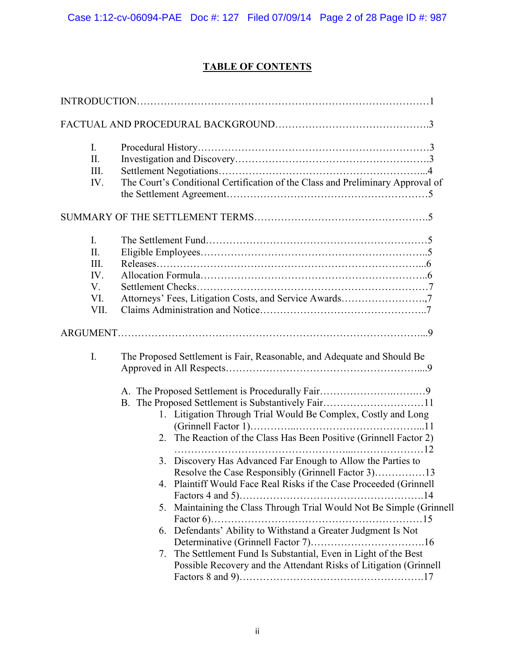# **TABLE OF CONTENTS**

| $I_{\cdot}$<br>II.<br>III.<br>IV.                         | The Court's Conditional Certification of the Class and Preliminary Approval of                                                                                                                                                                                                                                                                                                                                                                                      |
|-----------------------------------------------------------|---------------------------------------------------------------------------------------------------------------------------------------------------------------------------------------------------------------------------------------------------------------------------------------------------------------------------------------------------------------------------------------------------------------------------------------------------------------------|
|                                                           |                                                                                                                                                                                                                                                                                                                                                                                                                                                                     |
| $\mathbf{I}$ .<br>II.<br>III.<br>IV.<br>V.<br>VI.<br>VII. | Attorneys' Fees, Litigation Costs, and Service Awards7                                                                                                                                                                                                                                                                                                                                                                                                              |
|                                                           |                                                                                                                                                                                                                                                                                                                                                                                                                                                                     |
| I.                                                        | The Proposed Settlement is Fair, Reasonable, and Adequate and Should Be<br>B. The Proposed Settlement is Substantively Fair11<br>1. Litigation Through Trial Would Be Complex, Costly and Long<br>2. The Reaction of the Class Has Been Positive (Grinnell Factor 2)<br>3. Discovery Has Advanced Far Enough to Allow the Parties to<br>Resolve the Case Responsibly (Grinnell Factor 3)13<br>Plaintiff Would Face Real Risks if the Case Proceeded (Grinnell<br>4. |
|                                                           | 5. Maintaining the Class Through Trial Would Not Be Simple (Grinnell<br>6. Defendants' Ability to Withstand a Greater Judgment Is Not<br>7. The Settlement Fund Is Substantial, Even in Light of the Best<br>Possible Recovery and the Attendant Risks of Litigation (Grinnell                                                                                                                                                                                      |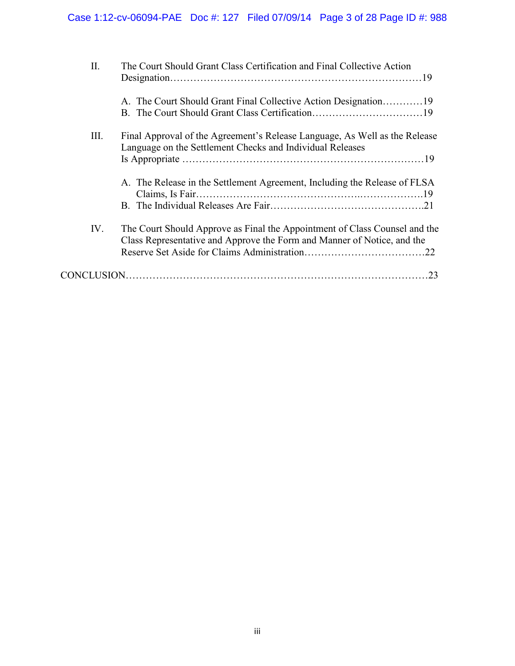| П.   | The Court Should Grant Class Certification and Final Collective Action                                                                                |
|------|-------------------------------------------------------------------------------------------------------------------------------------------------------|
|      |                                                                                                                                                       |
| III. | Final Approval of the Agreement's Release Language, As Well as the Release<br>Language on the Settlement Checks and Individual Releases               |
|      | A. The Release in the Settlement Agreement, Including the Release of FLSA                                                                             |
| IV.  | The Court Should Approve as Final the Appointment of Class Counsel and the<br>Class Representative and Approve the Form and Manner of Notice, and the |
|      | .23                                                                                                                                                   |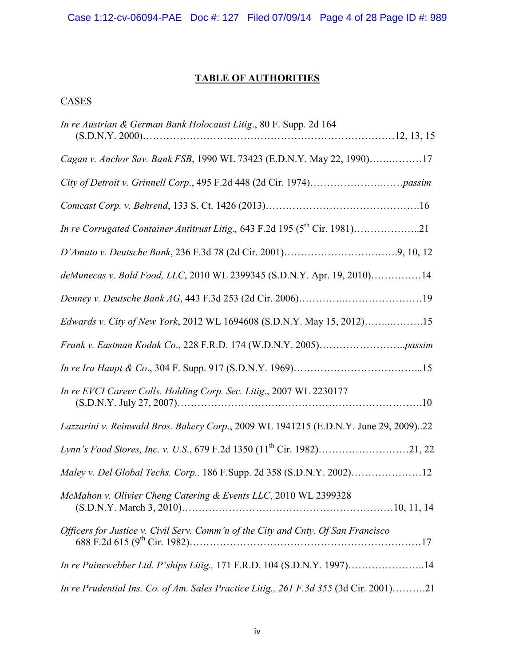# **TABLE OF AUTHORITIES**

# **CASES**

| In re Austrian & German Bank Holocaust Litig., 80 F. Supp. 2d 164                     |  |
|---------------------------------------------------------------------------------------|--|
| Cagan v. Anchor Sav. Bank FSB, 1990 WL 73423 (E.D.N.Y. May 22, 1990)17                |  |
|                                                                                       |  |
|                                                                                       |  |
|                                                                                       |  |
|                                                                                       |  |
| deMunecas v. Bold Food, LLC, 2010 WL 2399345 (S.D.N.Y. Apr. 19, 2010)14               |  |
|                                                                                       |  |
| Edwards v. City of New York, 2012 WL 1694608 (S.D.N.Y. May 15, 2012)15                |  |
|                                                                                       |  |
|                                                                                       |  |
| In re EVCI Career Colls. Holding Corp. Sec. Litig., 2007 WL 2230177                   |  |
| Lazzarini v. Reinwald Bros. Bakery Corp., 2009 WL 1941215 (E.D.N.Y. June 29, 2009)22  |  |
| Lynn's Food Stores, Inc. v. U.S., 679 F.2d 1350 (11 <sup>th</sup> Cir. 1982)21, 22    |  |
| Maley v. Del Global Techs. Corp., 186 F.Supp. 2d 358 (S.D.N.Y. 2002)12                |  |
| McMahon v. Olivier Cheng Catering & Events LLC, 2010 WL 2399328                       |  |
| Officers for Justice v. Civil Serv. Comm'n of the City and Cnty. Of San Francisco     |  |
| In re Painewebber Ltd. P'ships Litig., 171 F.R.D. 104 (S.D.N.Y. 1997)14               |  |
| In re Prudential Ins. Co. of Am. Sales Practice Litig., 261 F.3d 355 (3d Cir. 2001)21 |  |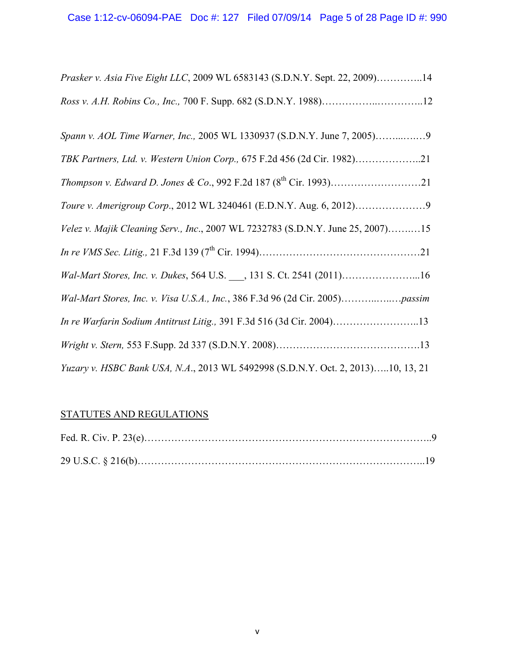| Prasker v. Asia Five Eight LLC, 2009 WL 6583143 (S.D.N.Y. Sept. 22, 2009)14      |
|----------------------------------------------------------------------------------|
| Ross v. A.H. Robins Co., Inc., 700 F. Supp. 682 (S.D.N.Y. 1988)12                |
|                                                                                  |
| TBK Partners, Ltd. v. Western Union Corp., 675 F.2d 456 (2d Cir. 1982)21         |
|                                                                                  |
|                                                                                  |
| Velez v. Majik Cleaning Serv., Inc., 2007 WL 7232783 (S.D.N.Y. June 25, 2007)15  |
|                                                                                  |
| Wal-Mart Stores, Inc. v. Dukes, 564 U.S. ___, 131 S. Ct. 2541 (2011)16           |
|                                                                                  |
| In re Warfarin Sodium Antitrust Litig., 391 F.3d 516 (3d Cir. 2004)13            |
|                                                                                  |
| Yuzary v. HSBC Bank USA, N.A., 2013 WL 5492998 (S.D.N.Y. Oct. 2, 2013)10, 13, 21 |

# STATUTES AND REGULATIONS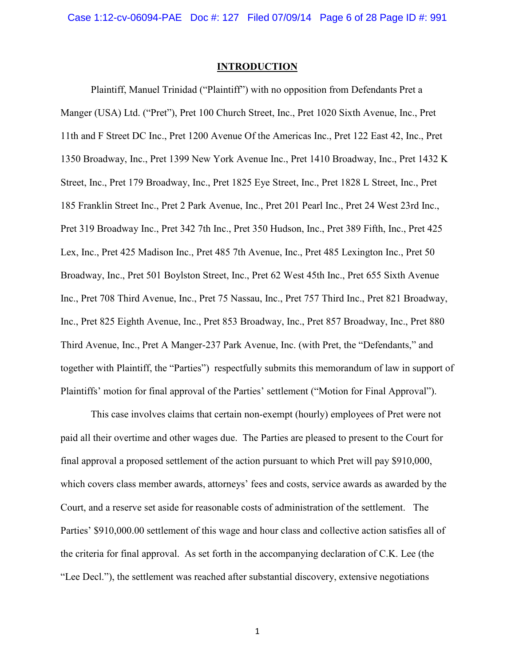Case 1:12-cv-06094-PAE Doc #: 127 Filed 07/09/14 Page 6 of 28 Page ID #: 991

#### **INTRODUCTION**

Plaintiff, Manuel Trinidad ("Plaintiff") with no opposition from Defendants Pret a Manger (USA) Ltd. ("Pret"), Pret 100 Church Street, Inc., Pret 1020 Sixth Avenue, Inc., Pret 11th and F Street DC Inc., Pret 1200 Avenue Of the Americas Inc., Pret 122 East 42, Inc., Pret 1350 Broadway, Inc., Pret 1399 New York Avenue Inc., Pret 1410 Broadway, Inc., Pret 1432 K Street, Inc., Pret 179 Broadway, Inc., Pret 1825 Eye Street, Inc., Pret 1828 L Street, Inc., Pret 185 Franklin Street Inc., Pret 2 Park Avenue, Inc., Pret 201 Pearl Inc., Pret 24 West 23rd Inc., Pret 319 Broadway Inc., Pret 342 7th Inc., Pret 350 Hudson, Inc., Pret 389 Fifth, Inc., Pret 425 Lex, Inc., Pret 425 Madison Inc., Pret 485 7th Avenue, Inc., Pret 485 Lexington Inc., Pret 50 Broadway, Inc., Pret 501 Boylston Street, Inc., Pret 62 West 45th Inc., Pret 655 Sixth Avenue Inc., Pret 708 Third Avenue, Inc., Pret 75 Nassau, Inc., Pret 757 Third Inc., Pret 821 Broadway, Inc., Pret 825 Eighth Avenue, Inc., Pret 853 Broadway, Inc., Pret 857 Broadway, Inc., Pret 880 Third Avenue, Inc., Pret A Manger-237 Park Avenue, Inc. (with Pret, the "Defendants," and together with Plaintiff, the "Parties") respectfully submits this memorandum of law in support of Plaintiffs' motion for final approval of the Parties' settlement ("Motion for Final Approval").

This case involves claims that certain non-exempt (hourly) employees of Pret were not paid all their overtime and other wages due. The Parties are pleased to present to the Court for final approval a proposed settlement of the action pursuant to which Pret will pay \$910,000, which covers class member awards, attorneys' fees and costs, service awards as awarded by the Court, and a reserve set aside for reasonable costs of administration of the settlement. The Parties' \$910,000.00 settlement of this wage and hour class and collective action satisfies all of the criteria for final approval. As set forth in the accompanying declaration of C.K. Lee (the "Lee Decl."), the settlement was reached after substantial discovery, extensive negotiations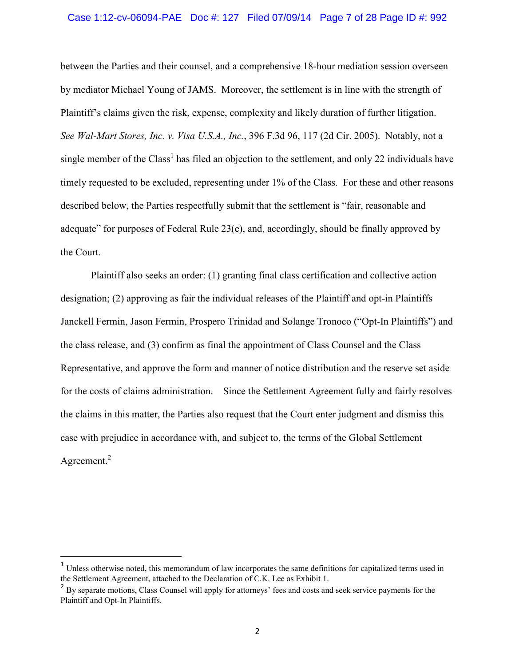#### Case 1:12-cv-06094-PAE Doc #: 127 Filed 07/09/14 Page 7 of 28 Page ID #: 992

between the Parties and their counsel, and a comprehensive 18-hour mediation session overseen by mediator Michael Young of JAMS. Moreover, the settlement is in line with the strength of Plaintiff's claims given the risk, expense, complexity and likely duration of further litigation. *See Wal-Mart Stores, Inc. v. Visa U.S.A., Inc.*, 396 F.3d 96, 117 (2d Cir. 2005). Notably, not a single member of the Class<sup>1</sup> has filed an objection to the settlement, and only 22 individuals have timely requested to be excluded, representing under 1% of the Class. For these and other reasons described below, the Parties respectfully submit that the settlement is "fair, reasonable and adequate" for purposes of Federal Rule  $23(e)$ , and, accordingly, should be finally approved by the Court.

Plaintiff also seeks an order: (1) granting final class certification and collective action designation; (2) approving as fair the individual releases of the Plaintiff and opt-in Plaintiffs Janckell Fermin, Jason Fermin, Prospero Trinidad and Solange Tronoco ("Opt-In Plaintiffs") and the class release, and (3) confirm as final the appointment of Class Counsel and the Class Representative, and approve the form and manner of notice distribution and the reserve set aside for the costs of claims administration. Since the Settlement Agreement fully and fairly resolves the claims in this matter, the Parties also request that the Court enter judgment and dismiss this case with prejudice in accordance with, and subject to, the terms of the Global Settlement Agreement.<sup>2</sup>

 $\overline{a}$ 

<sup>&</sup>lt;sup>1</sup> Unless otherwise noted, this memorandum of law incorporates the same definitions for capitalized terms used in the Settlement Agreement, attached to the Declaration of C.K. Lee as Exhibit 1.

<sup>&</sup>lt;sup>2</sup> By separate motions, Class Counsel will apply for attorneys' fees and costs and seek service payments for the Plaintiff and Opt-In Plaintiffs.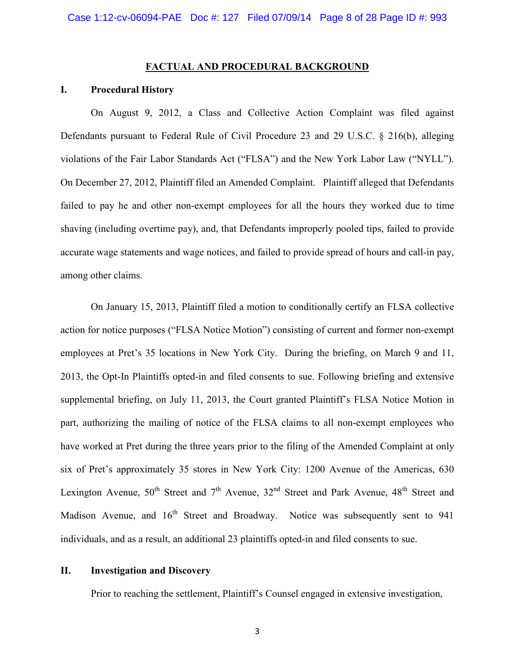#### **FACTUAL AND PROCEDURAL BACKGROUND**

### **I. Procedural History**

On August 9, 2012, a Class and Collective Action Complaint was filed against Defendants pursuant to Federal Rule of Civil Procedure 23 and 29 U.S.C. § 216(b), alleging violations of the Fair Labor Standards Act ("FLSA") and the New York Labor Law ("NYLL"). On December 27, 2012, Plaintiff filed an Amended Complaint. Plaintiff alleged that Defendants failed to pay he and other non-exempt employees for all the hours they worked due to time shaving (including overtime pay), and, that Defendants improperly pooled tips, failed to provide accurate wage statements and wage notices, and failed to provide spread of hours and call-in pay, among other claims.

 On January 15, 2013, Plaintiff filed a motion to conditionally certify an FLSA collective action for notice purposes ("FLSA Notice Motion") consisting of current and former non-exempt employees at Pret's 35 locations in New York City. During the briefing, on March 9 and 11, 2013, the Opt-In Plaintiffs opted-in and filed consents to sue. Following briefing and extensive supplemental briefing, on July 11, 2013, the Court granted Plaintiff's FLSA Notice Motion in part, authorizing the mailing of notice of the FLSA claims to all non-exempt employees who have worked at Pret during the three years prior to the filing of the Amended Complaint at only six of Pret's approximately 35 stores in New York City: 1200 Avenue of the Americas, 630 Lexington Avenue,  $50^{th}$  Street and  $7^{th}$  Avenue,  $32^{nd}$  Street and Park Avenue,  $48^{th}$  Street and Madison Avenue, and 16<sup>th</sup> Street and Broadway. Notice was subsequently sent to 941 individuals, and as a result, an additional 23 plaintiffs opted-in and filed consents to sue.

### **II. Investigation and Discovery**

Prior to reaching the settlement, Plaintiff's Counsel engaged in extensive investigation,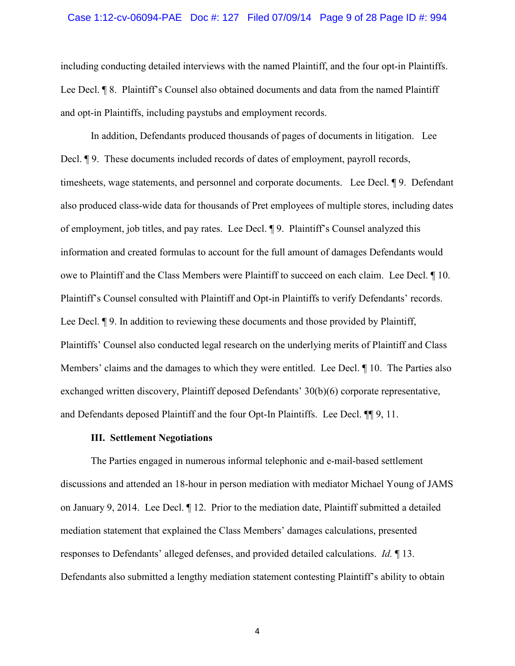#### Case 1:12-cv-06094-PAE Doc #: 127 Filed 07/09/14 Page 9 of 28 Page ID #: 994

including conducting detailed interviews with the named Plaintiff, and the four opt-in Plaintiffs. Lee Decl. ¶ 8. Plaintiff's Counsel also obtained documents and data from the named Plaintiff and opt-in Plaintiffs, including paystubs and employment records.

In addition, Defendants produced thousands of pages of documents in litigation. Lee Decl. **¶** 9. These documents included records of dates of employment, payroll records, timesheets, wage statements, and personnel and corporate documents. Lee Decl. ¶ 9. Defendant also produced class-wide data for thousands of Pret employees of multiple stores, including dates of employment, job titles, and pay rates. Lee Decl. ¶ 9. Plaintiff's Counsel analyzed this information and created formulas to account for the full amount of damages Defendants would owe to Plaintiff and the Class Members were Plaintiff to succeed on each claim. Lee Decl. ¶ 10. Plaintiff's Counsel consulted with Plaintiff and Opt-in Plaintiffs to verify Defendants' records. Lee Decl. ¶ 9. In addition to reviewing these documents and those provided by Plaintiff, Plaintiffs' Counsel also conducted legal research on the underlying merits of Plaintiff and Class Members' claims and the damages to which they were entitled. Lee Decl. ¶ 10. The Parties also exchanged written discovery, Plaintiff deposed Defendants' 30(b)(6) corporate representative, and Defendants deposed Plaintiff and the four Opt-In Plaintiffs. Lee Decl. ¶¶ 9, 11.

#### **III. Settlement Negotiations**

The Parties engaged in numerous informal telephonic and e-mail-based settlement discussions and attended an 18-hour in person mediation with mediator Michael Young of JAMS on January 9, 2014. Lee Decl. ¶ 12. Prior to the mediation date, Plaintiff submitted a detailed mediation statement that explained the Class Members' damages calculations, presented responses to Defendants' alleged defenses, and provided detailed calculations. *Id.* ¶ 13. Defendants also submitted a lengthy mediation statement contesting Plaintiff's ability to obtain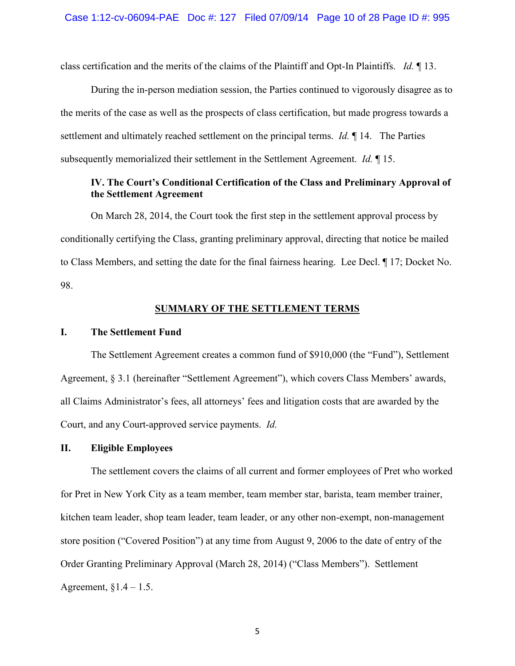class certification and the merits of the claims of the Plaintiff and Opt-In Plaintiffs. *Id.* ¶ 13.

During the in-person mediation session, the Parties continued to vigorously disagree as to the merits of the case as well as the prospects of class certification, but made progress towards a settlement and ultimately reached settlement on the principal terms. *Id.* ¶ 14. The Parties subsequently memorialized their settlement in the Settlement Agreement. *Id.* ¶ 15.

# **IV. The Court's Conditional Certification of the Class and Preliminary Approval of the Settlement Agreement**

On March 28, 2014, the Court took the first step in the settlement approval process by conditionally certifying the Class, granting preliminary approval, directing that notice be mailed to Class Members, and setting the date for the final fairness hearing. Lee Decl. ¶ 17; Docket No. 98.

### **SUMMARY OF THE SETTLEMENT TERMS**

#### **I. The Settlement Fund**

The Settlement Agreement creates a common fund of \$910,000 (the "Fund"), Settlement Agreement, § 3.1 (hereinafter "Settlement Agreement"), which covers Class Members' awards, all Claims Administrator's fees, all attorneys' fees and litigation costs that are awarded by the Court, and any Court-approved service payments. *Id.*

#### **II. Eligible Employees**

The settlement covers the claims of all current and former employees of Pret who worked for Pret in New York City as a team member, team member star, barista, team member trainer, kitchen team leader, shop team leader, team leader, or any other non-exempt, non-management store position ("Covered Position") at any time from August 9, 2006 to the date of entry of the Order Granting Preliminary Approval (March 28, 2014) ("Class Members"). Settlement Agreement,  $§1.4 - 1.5.$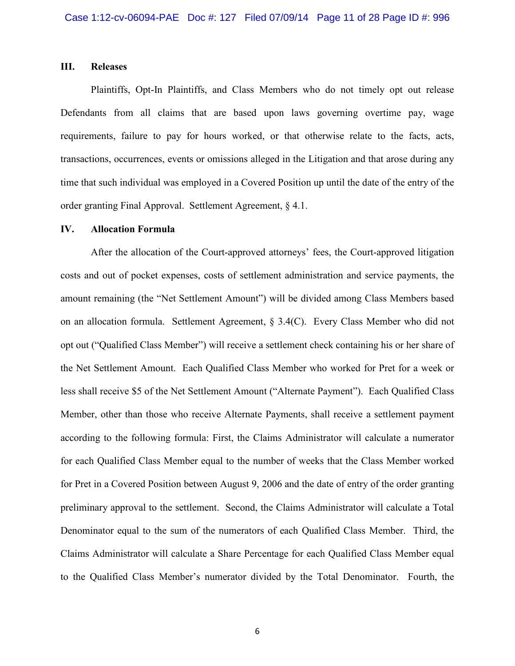### **III. Releases**

Plaintiffs, Opt-In Plaintiffs, and Class Members who do not timely opt out release Defendants from all claims that are based upon laws governing overtime pay, wage requirements, failure to pay for hours worked, or that otherwise relate to the facts, acts, transactions, occurrences, events or omissions alleged in the Litigation and that arose during any time that such individual was employed in a Covered Position up until the date of the entry of the order granting Final Approval. Settlement Agreement, § 4.1.

#### **IV. Allocation Formula**

 After the allocation of the Court-approved attorneys' fees, the Court-approved litigation costs and out of pocket expenses, costs of settlement administration and service payments, the amount remaining (the "Net Settlement Amount") will be divided among Class Members based on an allocation formula. Settlement Agreement, § 3.4(C). Every Class Member who did not opt out ("Qualified Class Member") will receive a settlement check containing his or her share of the Net Settlement Amount. Each Qualified Class Member who worked for Pret for a week or less shall receive \$5 of the Net Settlement Amount ("Alternate Payment"). Each Qualified Class Member, other than those who receive Alternate Payments, shall receive a settlement payment according to the following formula: First, the Claims Administrator will calculate a numerator for each Qualified Class Member equal to the number of weeks that the Class Member worked for Pret in a Covered Position between August 9, 2006 and the date of entry of the order granting preliminary approval to the settlement. Second, the Claims Administrator will calculate a Total Denominator equal to the sum of the numerators of each Qualified Class Member. Third, the Claims Administrator will calculate a Share Percentage for each Qualified Class Member equal to the Qualified Class Member's numerator divided by the Total Denominator. Fourth, the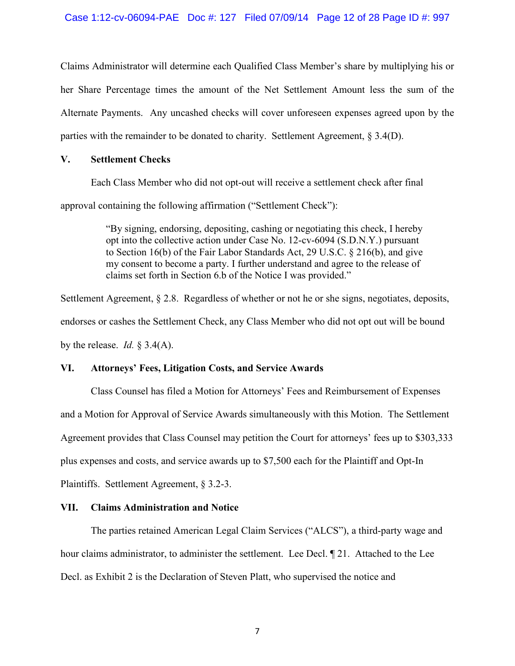Claims Administrator will determine each Qualified Class Member's share by multiplying his or her Share Percentage times the amount of the Net Settlement Amount less the sum of the Alternate Payments. Any uncashed checks will cover unforeseen expenses agreed upon by the parties with the remainder to be donated to charity. Settlement Agreement, § 3.4(D).

### **V. Settlement Checks**

 Each Class Member who did not opt-out will receive a settlement check after final approval containing the following affirmation ("Settlement Check"):

> "By signing, endorsing, depositing, cashing or negotiating this check, I hereby opt into the collective action under Case No. 12-cv-6094 (S.D.N.Y.) pursuant to Section 16(b) of the Fair Labor Standards Act, 29 U.S.C. § 216(b), and give my consent to become a party. I further understand and agree to the release of claims set forth in Section 6.b of the Notice I was provided."

Settlement Agreement, § 2.8. Regardless of whether or not he or she signs, negotiates, deposits, endorses or cashes the Settlement Check, any Class Member who did not opt out will be bound by the release. *Id.* § 3.4(A).

# **VI. Attorneys' Fees, Litigation Costs, and Service Awards**

Class Counsel has filed a Motion for Attorneys' Fees and Reimbursement of Expenses and a Motion for Approval of Service Awards simultaneously with this Motion. The Settlement Agreement provides that Class Counsel may petition the Court for attorneys' fees up to \$303,333 plus expenses and costs, and service awards up to \$7,500 each for the Plaintiff and Opt-In Plaintiffs. Settlement Agreement, § 3.2-3.

# **VII. Claims Administration and Notice**

The parties retained American Legal Claim Services ("ALCS"), a third-party wage and hour claims administrator, to administer the settlement. Lee Decl.  $\P$  21. Attached to the Lee Decl. as Exhibit 2 is the Declaration of Steven Platt, who supervised the notice and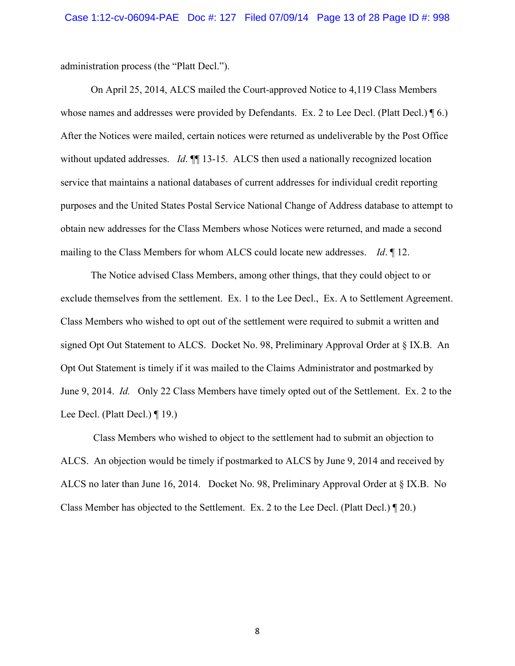administration process (the "Platt Decl.").

 On April 25, 2014, ALCS mailed the Court-approved Notice to 4,119 Class Members whose names and addresses were provided by Defendants. Ex. 2 to Lee Decl. (Platt Decl.) [6.] After the Notices were mailed, certain notices were returned as undeliverable by the Post Office without updated addresses. *Id*. **[14.**] 13-15. ALCS then used a nationally recognized location service that maintains a national databases of current addresses for individual credit reporting purposes and the United States Postal Service National Change of Address database to attempt to obtain new addresses for the Class Members whose Notices were returned, and made a second mailing to the Class Members for whom ALCS could locate new addresses. *Id*. ¶ 12.

The Notice advised Class Members, among other things, that they could object to or exclude themselves from the settlement. Ex. 1 to the Lee Decl., Ex. A to Settlement Agreement. Class Members who wished to opt out of the settlement were required to submit a written and signed Opt Out Statement to ALCS. Docket No. 98, Preliminary Approval Order at § IX.B. An Opt Out Statement is timely if it was mailed to the Claims Administrator and postmarked by June 9, 2014. *Id.* Only 22 Class Members have timely opted out of the Settlement. Ex. 2 to the Lee Decl. (Platt Decl.) ¶ 19.)

 Class Members who wished to object to the settlement had to submit an objection to ALCS. An objection would be timely if postmarked to ALCS by June 9, 2014 and received by ALCS no later than June 16, 2014. Docket No. 98, Preliminary Approval Order at § IX.B. No Class Member has objected to the Settlement. Ex. 2 to the Lee Decl. (Platt Decl.) ¶ 20.)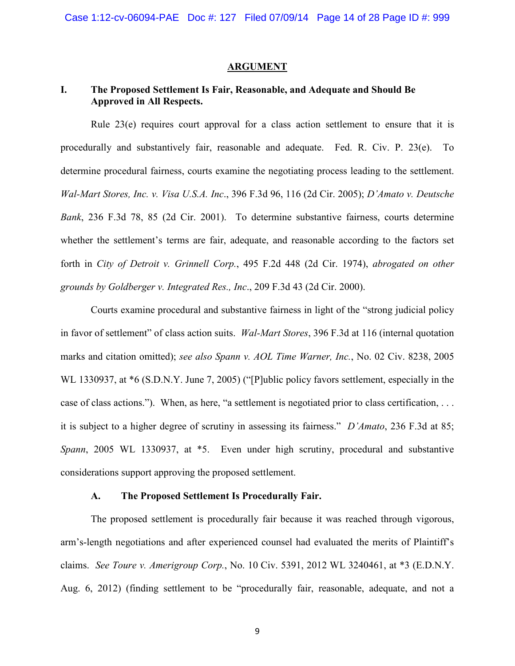#### **ARGUMENT**

# **I. The Proposed Settlement Is Fair, Reasonable, and Adequate and Should Be Approved in All Respects.**

Rule 23(e) requires court approval for a class action settlement to ensure that it is procedurally and substantively fair, reasonable and adequate. Fed. R. Civ. P. 23(e). To determine procedural fairness, courts examine the negotiating process leading to the settlement. *Wal-Mart Stores, Inc. v. Visa U.S.A. Inc*., 396 F.3d 96, 116 (2d Cir. 2005); *D'Amato v. Deutsche Bank*, 236 F.3d 78, 85 (2d Cir. 2001). To determine substantive fairness, courts determine whether the settlement's terms are fair, adequate, and reasonable according to the factors set forth in *City of Detroit v. Grinnell Corp.*, 495 F.2d 448 (2d Cir. 1974), *abrogated on other grounds by Goldberger v. Integrated Res., Inc*., 209 F.3d 43 (2d Cir. 2000).

Courts examine procedural and substantive fairness in light of the "strong judicial policy in favor of settlement" of class action suits. *Wal-Mart Stores*, 396 F.3d at 116 (internal quotation marks and citation omitted); *see also Spann v. AOL Time Warner, Inc.*, No. 02 Civ. 8238, 2005 WL 1330937, at  $*6$  (S.D.N.Y. June 7, 2005) ("[P]ublic policy favors settlement, especially in the case of class actions."). When, as here, "a settlement is negotiated prior to class certification, . . . it is subject to a higher degree of scrutiny in assessing its fairness." *D'Amato*, 236 F.3d at 85; *Spann*, 2005 WL 1330937, at \*5. Even under high scrutiny, procedural and substantive considerations support approving the proposed settlement.

### **A. The Proposed Settlement Is Procedurally Fair.**

The proposed settlement is procedurally fair because it was reached through vigorous, arm's-length negotiations and after experienced counsel had evaluated the merits of Plaintiff's claims. *See Toure v. Amerigroup Corp.*, No. 10 Civ. 5391, 2012 WL 3240461, at \*3 (E.D.N.Y. Aug. 6, 2012) (finding settlement to be "procedurally fair, reasonable, adequate, and not a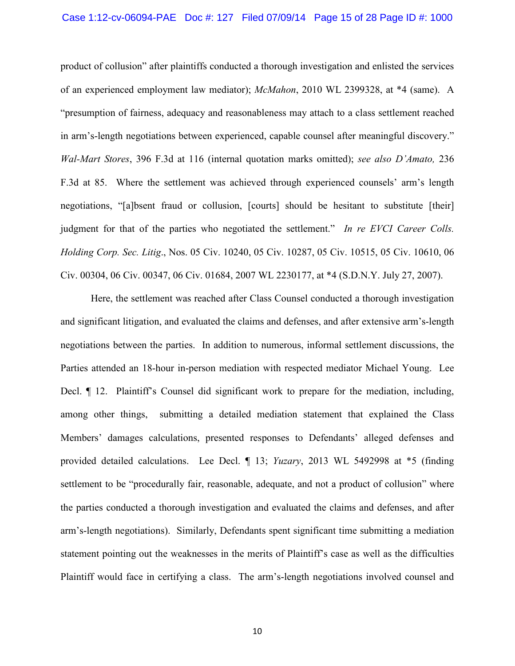#### Case 1:12-cv-06094-PAE Doc #: 127 Filed 07/09/14 Page 15 of 28 Page ID #: 1000

product of collusion" after plaintiffs conducted a thorough investigation and enlisted the services of an experienced employment law mediator); *McMahon*, 2010 WL 2399328, at \*4 (same).A "presumption of fairness, adequacy and reasonableness may attach to a class settlement reached in arm's-length negotiations between experienced, capable counsel after meaningful discovery." *Wal-Mart Stores*, 396 F.3d at 116 (internal quotation marks omitted); *see also D'Amato,* 236 F.3d at 85. Where the settlement was achieved through experienced counsels' arm's length negotiations, "[a]bsent fraud or collusion, [courts] should be hesitant to substitute [their] judgment for that of the parties who negotiated the settlement." *In re EVCI Career Colls. Holding Corp. Sec. Litig*., Nos. 05 Civ. 10240, 05 Civ. 10287, 05 Civ. 10515, 05 Civ. 10610, 06 Civ. 00304, 06 Civ. 00347, 06 Civ. 01684, 2007 WL 2230177, at \*4 (S.D.N.Y. July 27, 2007).

Here, the settlement was reached after Class Counsel conducted a thorough investigation and significant litigation, and evaluated the claims and defenses, and after extensive arm's-length negotiations between the parties. In addition to numerous, informal settlement discussions, the Parties attended an 18-hour in-person mediation with respected mediator Michael Young. Lee Decl.  $\parallel$  12. Plaintiff's Counsel did significant work to prepare for the mediation, including, among other things, submitting a detailed mediation statement that explained the Class Members' damages calculations, presented responses to Defendants' alleged defenses and provided detailed calculations. Lee Decl. ¶ 13; *Yuzary*, 2013 WL 5492998 at \*5 (finding settlement to be "procedurally fair, reasonable, adequate, and not a product of collusion" where the parties conducted a thorough investigation and evaluated the claims and defenses, and after arm's-length negotiations). Similarly, Defendants spent significant time submitting a mediation statement pointing out the weaknesses in the merits of Plaintiff's case as well as the difficulties Plaintiff would face in certifying a class. The arm's-length negotiations involved counsel and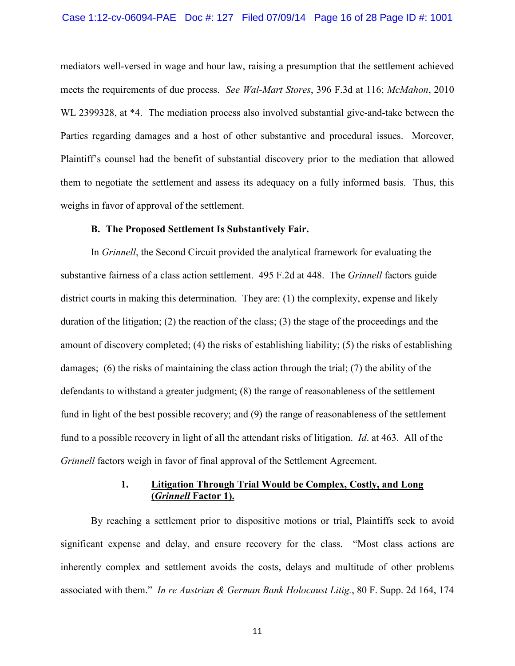#### Case 1:12-cv-06094-PAE Doc #: 127 Filed 07/09/14 Page 16 of 28 Page ID #: 1001

mediators well-versed in wage and hour law, raising a presumption that the settlement achieved meets the requirements of due process. *See Wal-Mart Stores*, 396 F.3d at 116; *McMahon*, 2010 WL 2399328, at \*4. The mediation process also involved substantial give-and-take between the Parties regarding damages and a host of other substantive and procedural issues. Moreover, Plaintiff's counsel had the benefit of substantial discovery prior to the mediation that allowed them to negotiate the settlement and assess its adequacy on a fully informed basis. Thus, this weighs in favor of approval of the settlement.

#### **B. The Proposed Settlement Is Substantively Fair.**

In *Grinnell*, the Second Circuit provided the analytical framework for evaluating the substantive fairness of a class action settlement. 495 F.2d at 448. The *Grinnell* factors guide district courts in making this determination. They are: (1) the complexity, expense and likely duration of the litigation; (2) the reaction of the class; (3) the stage of the proceedings and the amount of discovery completed; (4) the risks of establishing liability; (5) the risks of establishing damages; (6) the risks of maintaining the class action through the trial; (7) the ability of the defendants to withstand a greater judgment; (8) the range of reasonableness of the settlement fund in light of the best possible recovery; and (9) the range of reasonableness of the settlement fund to a possible recovery in light of all the attendant risks of litigation. *Id*. at 463. All of the *Grinnell* factors weigh in favor of final approval of the Settlement Agreement.

# **1. Litigation Through Trial Would be Complex, Costly, and Long (***Grinnell* **Factor 1).**

 By reaching a settlement prior to dispositive motions or trial, Plaintiffs seek to avoid significant expense and delay, and ensure recovery for the class. "Most class actions are inherently complex and settlement avoids the costs, delays and multitude of other problems associated with them." *In re Austrian & German Bank Holocaust Litig.*, 80 F. Supp. 2d 164, 174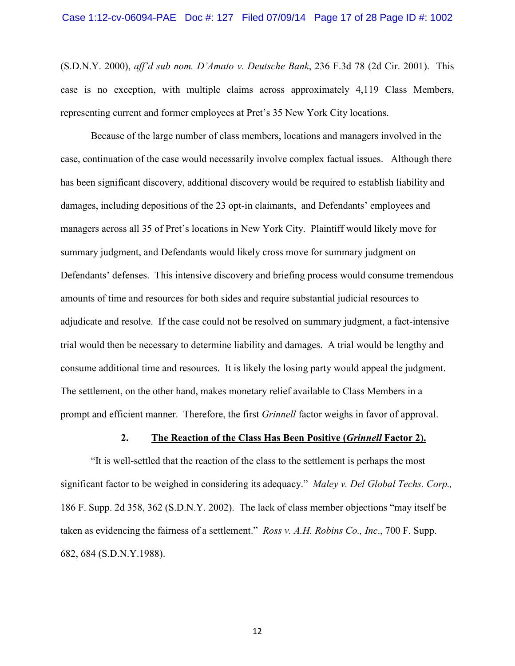#### Case 1:12-cv-06094-PAE Doc #: 127 Filed 07/09/14 Page 17 of 28 Page ID #: 1002

(S.D.N.Y. 2000), *aff'd sub nom. D'Amato v. Deutsche Bank*, 236 F.3d 78 (2d Cir. 2001). This case is no exception, with multiple claims across approximately 4,119 Class Members, representing current and former employees at Pret's 35 New York City locations.

 Because of the large number of class members, locations and managers involved in the case, continuation of the case would necessarily involve complex factual issues. Although there has been significant discovery, additional discovery would be required to establish liability and damages, including depositions of the 23 opt-in claimants, and Defendants' employees and managers across all 35 of Pret's locations in New York City. Plaintiff would likely move for summary judgment, and Defendants would likely cross move for summary judgment on Defendants' defenses. This intensive discovery and briefing process would consume tremendous amounts of time and resources for both sides and require substantial judicial resources to adjudicate and resolve. If the case could not be resolved on summary judgment, a fact-intensive trial would then be necessary to determine liability and damages. A trial would be lengthy and consume additional time and resources. It is likely the losing party would appeal the judgment. The settlement, on the other hand, makes monetary relief available to Class Members in a prompt and efficient manner. Therefore, the first *Grinnell* factor weighs in favor of approval.

#### **2. The Reaction of the Class Has Been Positive (***Grinnell* **Factor 2).**

"It is well-settled that the reaction of the class to the settlement is perhaps the most significant factor to be weighed in considering its adequacy." *Maley v. Del Global Techs. Corp.,* 186 F. Supp. 2d 358, 362 (S.D.N.Y. 2002). The lack of class member objections "may itself be taken as evidencing the fairness of a settlement." *Ross v. A.H. Robins Co., Inc*., 700 F. Supp. 682, 684 (S.D.N.Y.1988).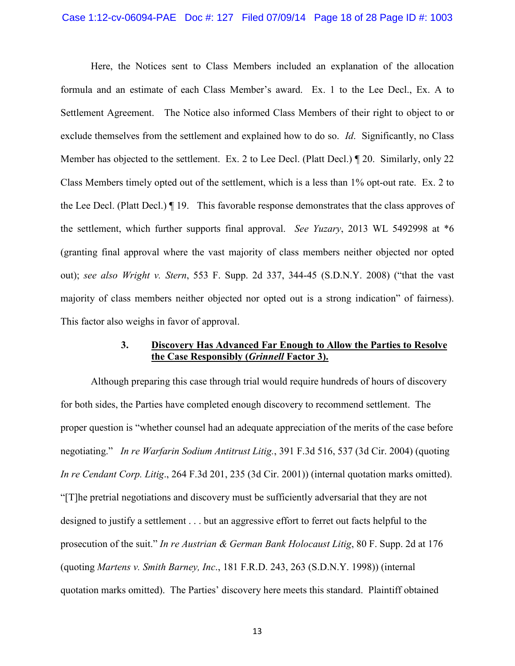#### Case 1:12-cv-06094-PAE Doc #: 127 Filed 07/09/14 Page 18 of 28 Page ID #: 1003

Here, the Notices sent to Class Members included an explanation of the allocation formula and an estimate of each Class Member's award. Ex. 1 to the Lee Decl., Ex. A to Settlement Agreement. The Notice also informed Class Members of their right to object to or exclude themselves from the settlement and explained how to do so. *Id*. Significantly, no Class Member has objected to the settlement. Ex. 2 to Lee Decl. (Platt Decl.)  $\P$  20. Similarly, only 22 Class Members timely opted out of the settlement, which is a less than 1% opt-out rate. Ex. 2 to the Lee Decl. (Platt Decl.) ¶ 19. This favorable response demonstrates that the class approves of the settlement, which further supports final approval. *See Yuzary*, 2013 WL 5492998 at \*6 (granting final approval where the vast majority of class members neither objected nor opted out); *see also Wright v. Stern*, 553 F. Supp. 2d 337, 344-45 (S.D.N.Y. 2008) ("that the vast majority of class members neither objected nor opted out is a strong indication" of fairness). This factor also weighs in favor of approval.

### **3. Discovery Has Advanced Far Enough to Allow the Parties to Resolve the Case Responsibly (***Grinnell* **Factor 3).**

Although preparing this case through trial would require hundreds of hours of discovery for both sides, the Parties have completed enough discovery to recommend settlement. The proper question is "whether counsel had an adequate appreciation of the merits of the case before negotiating." *In re Warfarin Sodium Antitrust Litig.*, 391 F.3d 516, 537 (3d Cir. 2004) (quoting *In re Cendant Corp. Litig*., 264 F.3d 201, 235 (3d Cir. 2001)) (internal quotation marks omitted). "[T]he pretrial negotiations and discovery must be sufficiently adversarial that they are not designed to justify a settlement . . . but an aggressive effort to ferret out facts helpful to the prosecution of the suit." *In re Austrian & German Bank Holocaust Litig*, 80 F. Supp. 2d at 176 (quoting *Martens v. Smith Barney, Inc*., 181 F.R.D. 243, 263 (S.D.N.Y. 1998)) (internal quotation marks omitted). The Parties' discovery here meets this standard. Plaintiff obtained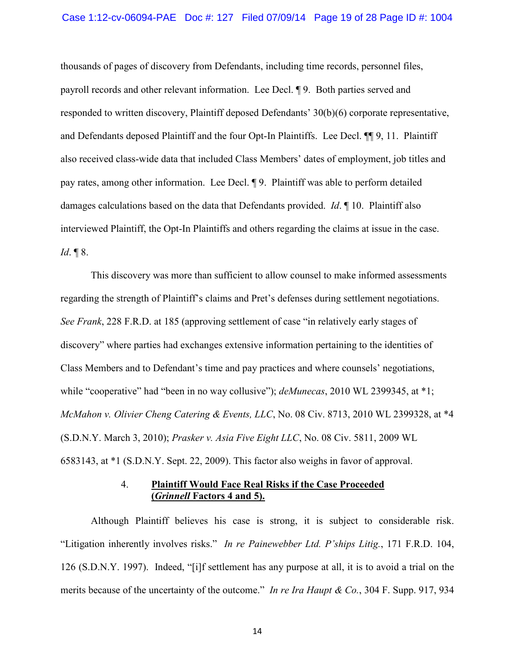#### Case 1:12-cv-06094-PAE Doc #: 127 Filed 07/09/14 Page 19 of 28 Page ID #: 1004

thousands of pages of discovery from Defendants, including time records, personnel files, payroll records and other relevant information. Lee Decl. ¶ 9. Both parties served and responded to written discovery, Plaintiff deposed Defendants' 30(b)(6) corporate representative, and Defendants deposed Plaintiff and the four Opt-In Plaintiffs. Lee Decl. ¶¶ 9, 11. Plaintiff also received class-wide data that included Class Members' dates of employment, job titles and pay rates, among other information. Lee Decl. ¶ 9. Plaintiff was able to perform detailed damages calculations based on the data that Defendants provided. *Id*. ¶ 10. Plaintiff also interviewed Plaintiff, the Opt-In Plaintiffs and others regarding the claims at issue in the case. *Id*. ¶ 8.

This discovery was more than sufficient to allow counsel to make informed assessments regarding the strength of Plaintiff's claims and Pret's defenses during settlement negotiations. *See Frank*, 228 F.R.D. at 185 (approving settlement of case "in relatively early stages of discovery" where parties had exchanges extensive information pertaining to the identities of Class Members and to Defendant's time and pay practices and where counsels' negotiations, while "cooperative" had "been in no way collusive"); *deMunecas*, 2010 WL 2399345, at \*1; *McMahon v. Olivier Cheng Catering & Events, LLC*, No. 08 Civ. 8713, 2010 WL 2399328, at \*4 (S.D.N.Y. March 3, 2010); *Prasker v. Asia Five Eight LLC*, No. 08 Civ. 5811, 2009 WL 6583143, at \*1 (S.D.N.Y. Sept. 22, 2009). This factor also weighs in favor of approval.

# 4. **Plaintiff Would Face Real Risks if the Case Proceeded (***Grinnell* **Factors 4 and 5).**

Although Plaintiff believes his case is strong, it is subject to considerable risk. "Litigation inherently involves risks." *In re Painewebber Ltd. P'ships Litig.*, 171 F.R.D. 104, 126 (S.D.N.Y. 1997). Indeed, "[i]f settlement has any purpose at all, it is to avoid a trial on the merits because of the uncertainty of the outcome." *In re Ira Haupt & Co.*, 304 F. Supp. 917, 934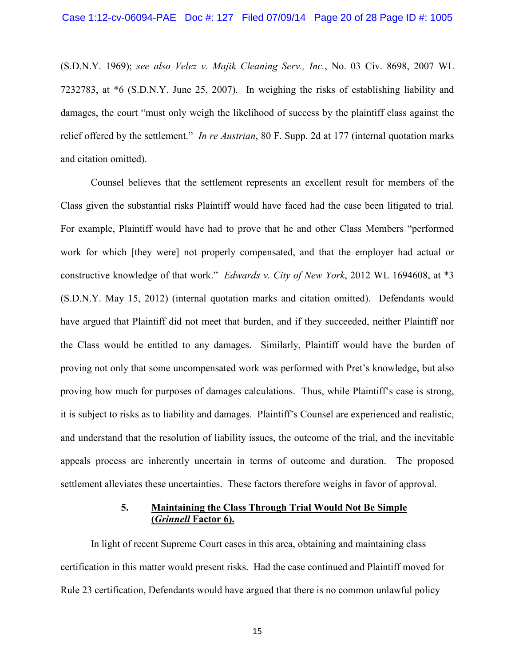(S.D.N.Y. 1969); *see also Velez v. Majik Cleaning Serv., Inc.*, No. 03 Civ. 8698, 2007 WL 7232783, at \*6 (S.D.N.Y. June 25, 2007). In weighing the risks of establishing liability and damages, the court "must only weigh the likelihood of success by the plaintiff class against the relief offered by the settlement." *In re Austrian*, 80 F. Supp. 2d at 177 (internal quotation marks and citation omitted).

Counsel believes that the settlement represents an excellent result for members of the Class given the substantial risks Plaintiff would have faced had the case been litigated to trial. For example, Plaintiff would have had to prove that he and other Class Members "performed work for which [they were] not properly compensated, and that the employer had actual or constructive knowledge of that work." *Edwards v. City of New York*, 2012 WL 1694608, at \*3 (S.D.N.Y. May 15, 2012) (internal quotation marks and citation omitted). Defendants would have argued that Plaintiff did not meet that burden, and if they succeeded, neither Plaintiff nor the Class would be entitled to any damages. Similarly, Plaintiff would have the burden of proving not only that some uncompensated work was performed with Pret's knowledge, but also proving how much for purposes of damages calculations. Thus, while Plaintiff's case is strong, it is subject to risks as to liability and damages. Plaintiff's Counsel are experienced and realistic, and understand that the resolution of liability issues, the outcome of the trial, and the inevitable appeals process are inherently uncertain in terms of outcome and duration. The proposed settlement alleviates these uncertainties. These factors therefore weighs in favor of approval.

## **5. Maintaining the Class Through Trial Would Not Be Simple (***Grinnell* **Factor 6).**

In light of recent Supreme Court cases in this area, obtaining and maintaining class certification in this matter would present risks. Had the case continued and Plaintiff moved for Rule 23 certification, Defendants would have argued that there is no common unlawful policy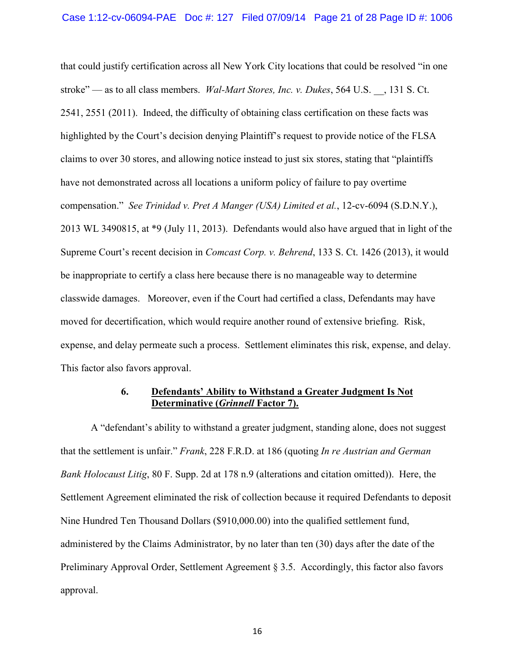that could justify certification across all New York City locations that could be resolved "in one stroke" — as to all class members. *Wal-Mart Stores, Inc. v. Dukes*, 564 U.S. \_\_, 131 S. Ct. 2541, 2551 (2011). Indeed, the difficulty of obtaining class certification on these facts was highlighted by the Court's decision denying Plaintiff's request to provide notice of the FLSA claims to over 30 stores, and allowing notice instead to just six stores, stating that "plaintiffs have not demonstrated across all locations a uniform policy of failure to pay overtime compensation." *See Trinidad v. Pret A Manger (USA) Limited et al.*, 12-cv-6094 (S.D.N.Y.), 2013 WL 3490815, at \*9 (July 11, 2013). Defendants would also have argued that in light of the Supreme Court's recent decision in *Comcast Corp. v. Behrend*, 133 S. Ct. 1426 (2013), it would be inappropriate to certify a class here because there is no manageable way to determine classwide damages. Moreover, even if the Court had certified a class, Defendants may have moved for decertification, which would require another round of extensive briefing. Risk, expense, and delay permeate such a process. Settlement eliminates this risk, expense, and delay. This factor also favors approval.

# **6. Defendants' Ability to Withstand a Greater Judgment Is Not Determinative (***Grinnell* **Factor 7).**

A "defendant's ability to withstand a greater judgment, standing alone, does not suggest that the settlement is unfair." *Frank*, 228 F.R.D. at 186 (quoting *In re Austrian and German Bank Holocaust Litig*, 80 F. Supp. 2d at 178 n.9 (alterations and citation omitted)). Here, the Settlement Agreement eliminated the risk of collection because it required Defendants to deposit Nine Hundred Ten Thousand Dollars (\$910,000.00) into the qualified settlement fund, administered by the Claims Administrator, by no later than ten (30) days after the date of the Preliminary Approval Order, Settlement Agreement § 3.5. Accordingly, this factor also favors approval.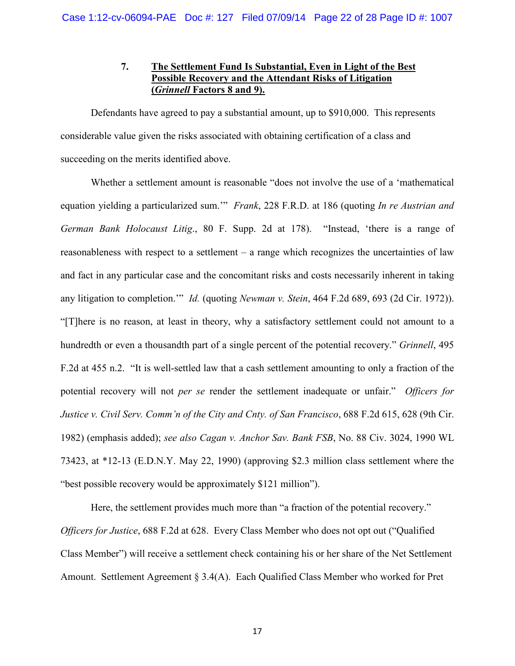# **7. The Settlement Fund Is Substantial, Even in Light of the Best Possible Recovery and the Attendant Risks of Litigation (***Grinnell* **Factors 8 and 9).**

Defendants have agreed to pay a substantial amount, up to \$910,000. This represents considerable value given the risks associated with obtaining certification of a class and succeeding on the merits identified above.

Whether a settlement amount is reasonable "does not involve the use of a 'mathematical equation yielding a particularized sum.'" *Frank*, 228 F.R.D. at 186 (quoting *In re Austrian and German Bank Holocaust Litig*., 80 F. Supp. 2d at 178). "Instead, 'there is a range of reasonableness with respect to a settlement – a range which recognizes the uncertainties of law and fact in any particular case and the concomitant risks and costs necessarily inherent in taking any litigation to completion.'" *Id.* (quoting *Newman v. Stein*, 464 F.2d 689, 693 (2d Cir. 1972)). "[T]here is no reason, at least in theory, why a satisfactory settlement could not amount to a hundredth or even a thousandth part of a single percent of the potential recovery." *Grinnell*, 495 F.2d at 455 n.2. "It is well-settled law that a cash settlement amounting to only a fraction of the potential recovery will not *per se* render the settlement inadequate or unfair." *Officers for Justice v. Civil Serv. Comm'n of the City and Cnty. of San Francisco*, 688 F.2d 615, 628 (9th Cir. 1982) (emphasis added); *see also Cagan v. Anchor Sav. Bank FSB*, No. 88 Civ. 3024, 1990 WL 73423, at \*12-13 (E.D.N.Y. May 22, 1990) (approving \$2.3 million class settlement where the "best possible recovery would be approximately \$121 million").

Here, the settlement provides much more than "a fraction of the potential recovery." *Officers for Justice*, 688 F.2d at 628. Every Class Member who does not opt out ("Qualified Class Member") will receive a settlement check containing his or her share of the Net Settlement Amount. Settlement Agreement § 3.4(A). Each Qualified Class Member who worked for Pret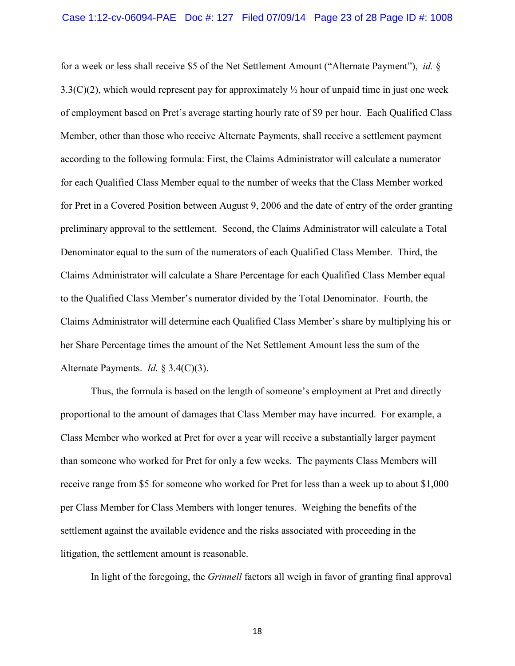#### Case 1:12-cv-06094-PAE Doc #: 127 Filed 07/09/14 Page 23 of 28 Page ID #: 1008

for a week or less shall receive \$5 of the Net Settlement Amount ("Alternate Payment"), *id.* § 3.3(C)(2), which would represent pay for approximately  $\frac{1}{2}$  hour of unpaid time in just one week of employment based on Pret's average starting hourly rate of \$9 per hour. Each Qualified Class Member, other than those who receive Alternate Payments, shall receive a settlement payment according to the following formula: First, the Claims Administrator will calculate a numerator for each Qualified Class Member equal to the number of weeks that the Class Member worked for Pret in a Covered Position between August 9, 2006 and the date of entry of the order granting preliminary approval to the settlement. Second, the Claims Administrator will calculate a Total Denominator equal to the sum of the numerators of each Qualified Class Member. Third, the Claims Administrator will calculate a Share Percentage for each Qualified Class Member equal to the Qualified Class Member's numerator divided by the Total Denominator. Fourth, the Claims Administrator will determine each Qualified Class Member's share by multiplying his or her Share Percentage times the amount of the Net Settlement Amount less the sum of the Alternate Payments. *Id.* § 3.4(C)(3).

Thus, the formula is based on the length of someone's employment at Pret and directly proportional to the amount of damages that Class Member may have incurred. For example, a Class Member who worked at Pret for over a year will receive a substantially larger payment than someone who worked for Pret for only a few weeks. The payments Class Members will receive range from \$5 for someone who worked for Pret for less than a week up to about \$1,000 per Class Member for Class Members with longer tenures. Weighing the benefits of the settlement against the available evidence and the risks associated with proceeding in the litigation, the settlement amount is reasonable.

In light of the foregoing, the *Grinnell* factors all weigh in favor of granting final approval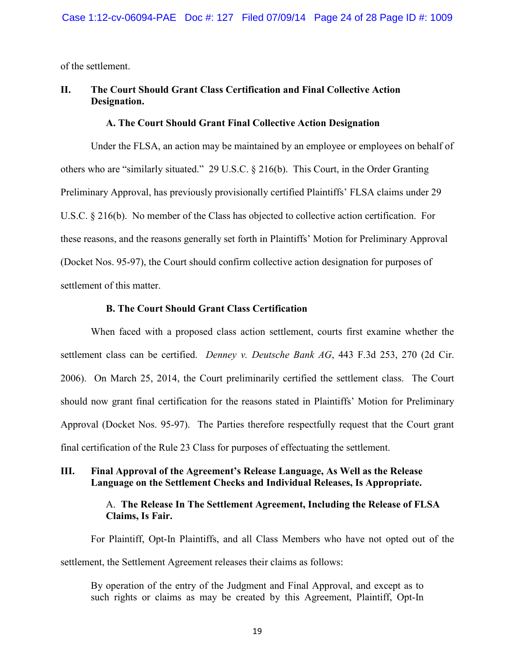of the settlement.

# **II. The Court Should Grant Class Certification and Final Collective Action Designation.**

### **A. The Court Should Grant Final Collective Action Designation**

Under the FLSA, an action may be maintained by an employee or employees on behalf of others who are "similarly situated." 29 U.S.C. § 216(b). This Court, in the Order Granting Preliminary Approval, has previously provisionally certified Plaintiffs' FLSA claims under 29 U.S.C. § 216(b). No member of the Class has objected to collective action certification. For these reasons, and the reasons generally set forth in Plaintiffs' Motion for Preliminary Approval (Docket Nos. 95-97), the Court should confirm collective action designation for purposes of settlement of this matter.

### **B. The Court Should Grant Class Certification**

When faced with a proposed class action settlement, courts first examine whether the settlement class can be certified. *Denney v. Deutsche Bank AG*, 443 F.3d 253, 270 (2d Cir. 2006). On March 25, 2014, the Court preliminarily certified the settlement class. The Court should now grant final certification for the reasons stated in Plaintiffs' Motion for Preliminary Approval (Docket Nos. 95-97). The Parties therefore respectfully request that the Court grant final certification of the Rule 23 Class for purposes of effectuating the settlement.

# **III. Final Approval of the Agreement's Release Language, As Well as the Release Language on the Settlement Checks and Individual Releases, Is Appropriate.**

# A. **The Release In The Settlement Agreement, Including the Release of FLSA Claims, Is Fair.**

For Plaintiff, Opt-In Plaintiffs, and all Class Members who have not opted out of the settlement, the Settlement Agreement releases their claims as follows:

By operation of the entry of the Judgment and Final Approval, and except as to such rights or claims as may be created by this Agreement, Plaintiff, Opt-In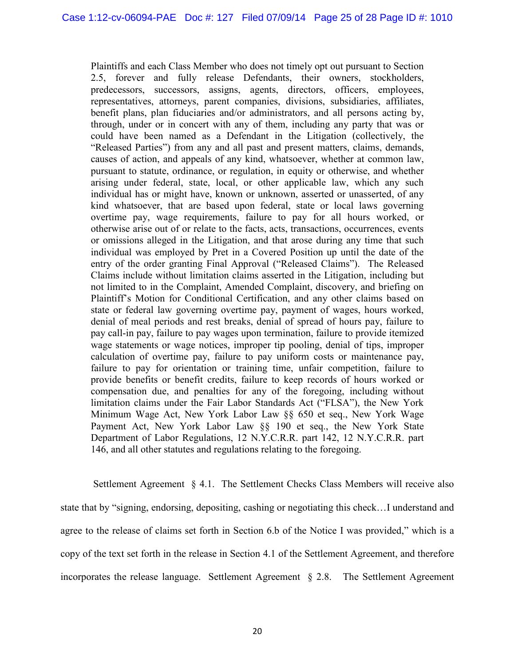Plaintiffs and each Class Member who does not timely opt out pursuant to Section 2.5, forever and fully release Defendants, their owners, stockholders, predecessors, successors, assigns, agents, directors, officers, employees, representatives, attorneys, parent companies, divisions, subsidiaries, affiliates, benefit plans, plan fiduciaries and/or administrators, and all persons acting by, through, under or in concert with any of them, including any party that was or could have been named as a Defendant in the Litigation (collectively, the "Released Parties") from any and all past and present matters, claims, demands, causes of action, and appeals of any kind, whatsoever, whether at common law, pursuant to statute, ordinance, or regulation, in equity or otherwise, and whether arising under federal, state, local, or other applicable law, which any such individual has or might have, known or unknown, asserted or unasserted, of any kind whatsoever, that are based upon federal, state or local laws governing overtime pay, wage requirements, failure to pay for all hours worked, or otherwise arise out of or relate to the facts, acts, transactions, occurrences, events or omissions alleged in the Litigation, and that arose during any time that such individual was employed by Pret in a Covered Position up until the date of the entry of the order granting Final Approval ("Released Claims"). The Released Claims include without limitation claims asserted in the Litigation, including but not limited to in the Complaint, Amended Complaint, discovery, and briefing on Plaintiff's Motion for Conditional Certification, and any other claims based on state or federal law governing overtime pay, payment of wages, hours worked, denial of meal periods and rest breaks, denial of spread of hours pay, failure to pay call-in pay, failure to pay wages upon termination, failure to provide itemized wage statements or wage notices, improper tip pooling, denial of tips, improper calculation of overtime pay, failure to pay uniform costs or maintenance pay, failure to pay for orientation or training time, unfair competition, failure to provide benefits or benefit credits, failure to keep records of hours worked or compensation due, and penalties for any of the foregoing, including without limitation claims under the Fair Labor Standards Act ("FLSA"), the New York Minimum Wage Act, New York Labor Law §§ 650 et seq., New York Wage Payment Act, New York Labor Law §§ 190 et seq., the New York State Department of Labor Regulations, 12 N.Y.C.R.R. part 142, 12 N.Y.C.R.R. part 146, and all other statutes and regulations relating to the foregoing.

 Settlement Agreement § 4.1. The Settlement Checks Class Members will receive also state that by "signing, endorsing, depositing, cashing or negotiating this check…I understand and agree to the release of claims set forth in Section 6.b of the Notice I was provided," which is a copy of the text set forth in the release in Section 4.1 of the Settlement Agreement, and therefore incorporates the release language. Settlement Agreement § 2.8. The Settlement Agreement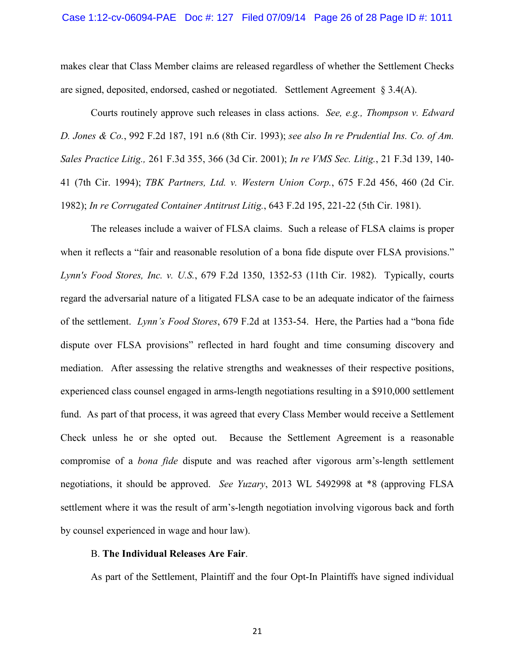#### Case 1:12-cv-06094-PAE Doc #: 127 Filed 07/09/14 Page 26 of 28 Page ID #: 1011

makes clear that Class Member claims are released regardless of whether the Settlement Checks are signed, deposited, endorsed, cashed or negotiated. Settlement Agreement § 3.4(A).

Courts routinely approve such releases in class actions. *See, e.g., Thompson v. Edward D. Jones & Co.*, 992 F.2d 187, 191 n.6 (8th Cir. 1993); *see also In re Prudential Ins. Co. of Am. Sales Practice Litig.,* 261 F.3d 355, 366 (3d Cir. 2001); *In re VMS Sec. Litig.*, 21 F.3d 139, 140- 41 (7th Cir. 1994); *TBK Partners, Ltd. v. Western Union Corp.*, 675 F.2d 456, 460 (2d Cir. 1982); *In re Corrugated Container Antitrust Litig.*, 643 F.2d 195, 221-22 (5th Cir. 1981).

The releases include a waiver of FLSA claims. Such a release of FLSA claims is proper when it reflects a "fair and reasonable resolution of a bona fide dispute over FLSA provisions." *Lynn's Food Stores, Inc. v. U.S.*, 679 F.2d 1350, 1352-53 (11th Cir. 1982). Typically, courts regard the adversarial nature of a litigated FLSA case to be an adequate indicator of the fairness of the settlement. *Lynn's Food Stores*, 679 F.2d at 1353-54. Here, the Parties had a "bona fide dispute over FLSA provisions" reflected in hard fought and time consuming discovery and mediation. After assessing the relative strengths and weaknesses of their respective positions, experienced class counsel engaged in arms-length negotiations resulting in a \$910,000 settlement fund. As part of that process, it was agreed that every Class Member would receive a Settlement Check unless he or she opted out. Because the Settlement Agreement is a reasonable compromise of a *bona fide* dispute and was reached after vigorous arm's-length settlement negotiations, it should be approved. *See Yuzary*, 2013 WL 5492998 at \*8 (approving FLSA settlement where it was the result of arm's-length negotiation involving vigorous back and forth by counsel experienced in wage and hour law).

#### B. **The Individual Releases Are Fair**.

As part of the Settlement, Plaintiff and the four Opt-In Plaintiffs have signed individual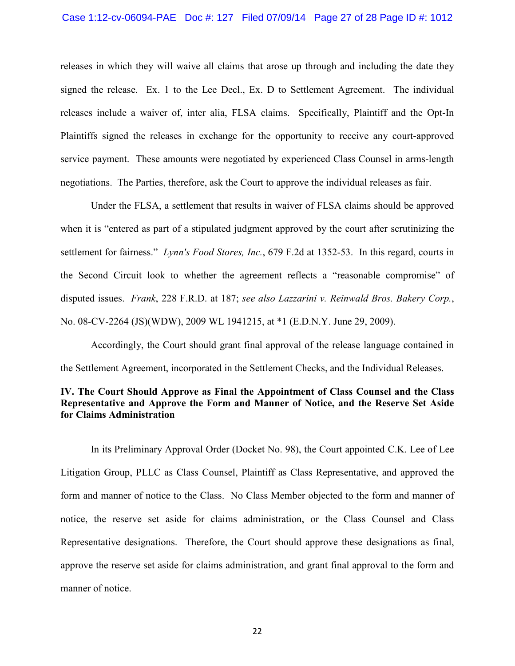#### Case 1:12-cv-06094-PAE Doc #: 127 Filed 07/09/14 Page 27 of 28 Page ID #: 1012

releases in which they will waive all claims that arose up through and including the date they signed the release. Ex. 1 to the Lee Decl., Ex. D to Settlement Agreement. The individual releases include a waiver of, inter alia, FLSA claims. Specifically, Plaintiff and the Opt-In Plaintiffs signed the releases in exchange for the opportunity to receive any court-approved service payment. These amounts were negotiated by experienced Class Counsel in arms-length negotiations. The Parties, therefore, ask the Court to approve the individual releases as fair.

Under the FLSA, a settlement that results in waiver of FLSA claims should be approved when it is "entered as part of a stipulated judgment approved by the court after scrutinizing the settlement for fairness." *Lynn's Food Stores, Inc.*, 679 F.2d at 1352-53. In this regard, courts in the Second Circuit look to whether the agreement reflects a "reasonable compromise" of disputed issues. *Frank*, 228 F.R.D. at 187; *see also Lazzarini v. Reinwald Bros. Bakery Corp.*, No. 08-CV-2264 (JS)(WDW), 2009 WL 1941215, at \*1 (E.D.N.Y. June 29, 2009).

Accordingly, the Court should grant final approval of the release language contained in the Settlement Agreement, incorporated in the Settlement Checks, and the Individual Releases.

# **IV. The Court Should Approve as Final the Appointment of Class Counsel and the Class Representative and Approve the Form and Manner of Notice, and the Reserve Set Aside for Claims Administration**

In its Preliminary Approval Order (Docket No. 98), the Court appointed C.K. Lee of Lee Litigation Group, PLLC as Class Counsel, Plaintiff as Class Representative, and approved the form and manner of notice to the Class. No Class Member objected to the form and manner of notice, the reserve set aside for claims administration, or the Class Counsel and Class Representative designations. Therefore, the Court should approve these designations as final, approve the reserve set aside for claims administration, and grant final approval to the form and manner of notice.